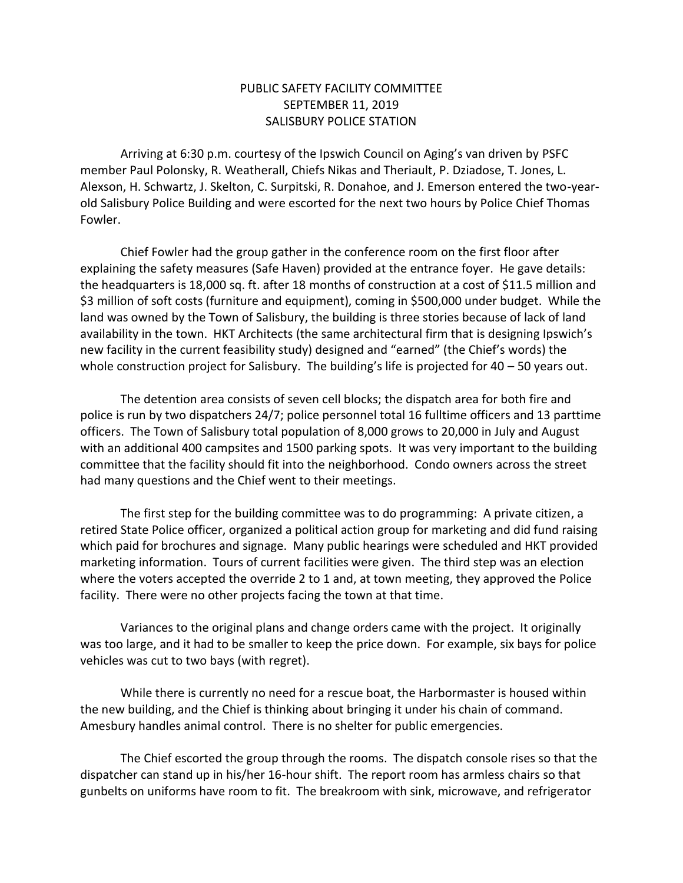## PUBLIC SAFETY FACILITY COMMITTEE SEPTEMBER 11, 2019 SALISBURY POLICE STATION

Arriving at 6:30 p.m. courtesy of the Ipswich Council on Aging's van driven by PSFC member Paul Polonsky, R. Weatherall, Chiefs Nikas and Theriault, P. Dziadose, T. Jones, L. Alexson, H. Schwartz, J. Skelton, C. Surpitski, R. Donahoe, and J. Emerson entered the two-yearold Salisbury Police Building and were escorted for the next two hours by Police Chief Thomas Fowler.

Chief Fowler had the group gather in the conference room on the first floor after explaining the safety measures (Safe Haven) provided at the entrance foyer. He gave details: the headquarters is 18,000 sq. ft. after 18 months of construction at a cost of \$11.5 million and \$3 million of soft costs (furniture and equipment), coming in \$500,000 under budget. While the land was owned by the Town of Salisbury, the building is three stories because of lack of land availability in the town. HKT Architects (the same architectural firm that is designing Ipswich's new facility in the current feasibility study) designed and "earned" (the Chief's words) the whole construction project for Salisbury. The building's life is projected for 40 – 50 years out.

The detention area consists of seven cell blocks; the dispatch area for both fire and police is run by two dispatchers 24/7; police personnel total 16 fulltime officers and 13 parttime officers. The Town of Salisbury total population of 8,000 grows to 20,000 in July and August with an additional 400 campsites and 1500 parking spots. It was very important to the building committee that the facility should fit into the neighborhood. Condo owners across the street had many questions and the Chief went to their meetings.

The first step for the building committee was to do programming: A private citizen, a retired State Police officer, organized a political action group for marketing and did fund raising which paid for brochures and signage. Many public hearings were scheduled and HKT provided marketing information. Tours of current facilities were given. The third step was an election where the voters accepted the override 2 to 1 and, at town meeting, they approved the Police facility. There were no other projects facing the town at that time.

Variances to the original plans and change orders came with the project. It originally was too large, and it had to be smaller to keep the price down. For example, six bays for police vehicles was cut to two bays (with regret).

While there is currently no need for a rescue boat, the Harbormaster is housed within the new building, and the Chief is thinking about bringing it under his chain of command. Amesbury handles animal control. There is no shelter for public emergencies.

The Chief escorted the group through the rooms. The dispatch console rises so that the dispatcher can stand up in his/her 16-hour shift. The report room has armless chairs so that gunbelts on uniforms have room to fit. The breakroom with sink, microwave, and refrigerator